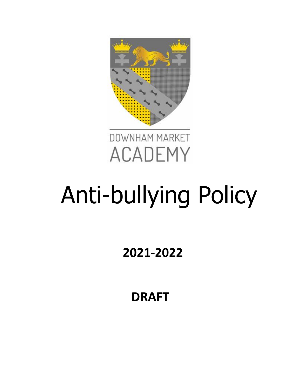



# Anti-bullying Policy

**2021-2022**

**DRAFT**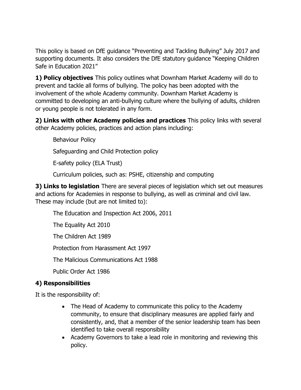This policy is based on DfE guidance "Preventing and Tackling Bullying" July 2017 and supporting documents. It also considers the DfE statutory guidance "Keeping Children Safe in Education 2021"

**1) Policy objectives** This policy outlines what Downham Market Academy will do to prevent and tackle all forms of bullying. The policy has been adopted with the involvement of the whole Academy community. Downham Market Academy is committed to developing an anti-bullying culture where the bullying of adults, children or young people is not tolerated in any form.

**2) Links with other Academy policies and practices** This policy links with several other Academy policies, practices and action plans including:

Behaviour Policy

Safeguarding and Child Protection policy

E-safety policy (ELA Trust)

Curriculum policies, such as: PSHE, citizenship and computing

**3) Links to legislation** There are several pieces of legislation which set out measures and actions for Academies in response to bullying, as well as criminal and civil law. These may include (but are not limited to):

The Education and Inspection Act 2006, 2011

The Equality Act 2010

The Children Act 1989

Protection from Harassment Act 1997

The Malicious Communications Act 1988

Public Order Act 1986

### **4) Responsibilities**

It is the responsibility of:

- The Head of Academy to communicate this policy to the Academy community, to ensure that disciplinary measures are applied fairly and consistently, and, that a member of the senior leadership team has been identified to take overall responsibility
- Academy Governors to take a lead role in monitoring and reviewing this policy.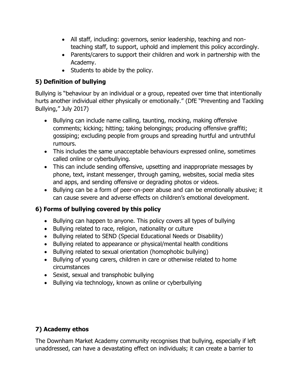- All staff, including: governors, senior leadership, teaching and nonteaching staff, to support, uphold and implement this policy accordingly.
- Parents/carers to support their children and work in partnership with the Academy.
- Students to abide by the policy.

## **5) Definition of bullying**

Bullying is "behaviour by an individual or a group, repeated over time that intentionally hurts another individual either physically or emotionally." (DfE "Preventing and Tackling Bullying," July 2017)

- Bullying can include name calling, taunting, mocking, making offensive comments; kicking; hitting; taking belongings; producing offensive graffiti; gossiping; excluding people from groups and spreading hurtful and untruthful rumours.
- This includes the same unacceptable behaviours expressed online, sometimes called online or cyberbullying.
- This can include sending offensive, upsetting and inappropriate messages by phone, text, instant messenger, through gaming, websites, social media sites and apps, and sending offensive or degrading photos or videos.
- Bullying can be a form of peer-on-peer abuse and can be emotionally abusive; it can cause severe and adverse effects on children's emotional development.

# **6) Forms of bullying covered by this policy**

- Bullying can happen to anyone. This policy covers all types of bullying
- Bullying related to race, religion, nationality or culture
- Bullying related to SEND (Special Educational Needs or Disability)
- Bullying related to appearance or physical/mental health conditions
- Bullying related to sexual orientation (homophobic bullying)
- Bullying of young carers, children in care or otherwise related to home circumstances
- Sexist, sexual and transphobic bullying
- Bullying via technology, known as online or cyberbullying

## **7) Academy ethos**

The Downham Market Academy community recognises that bullying, especially if left unaddressed, can have a devastating effect on individuals; it can create a barrier to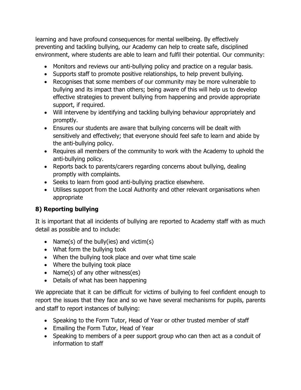learning and have profound consequences for mental wellbeing. By effectively preventing and tackling bullying, our Academy can help to create safe, disciplined environment, where students are able to learn and fulfil their potential. Our community:

- Monitors and reviews our anti-bullying policy and practice on a regular basis.
- Supports staff to promote positive relationships, to help prevent bullying.
- Recognises that some members of our community may be more vulnerable to bullying and its impact than others; being aware of this will help us to develop effective strategies to prevent bullying from happening and provide appropriate support, if required.
- Will intervene by identifying and tackling bullying behaviour appropriately and promptly.
- Ensures our students are aware that bullying concerns will be dealt with sensitively and effectively; that everyone should feel safe to learn and abide by the anti-bullying policy.
- Requires all members of the community to work with the Academy to uphold the anti-bullying policy.
- Reports back to parents/carers regarding concerns about bullying, dealing promptly with complaints.
- Seeks to learn from good anti-bullying practice elsewhere.
- Utilises support from the Local Authority and other relevant organisations when appropriate

## **8) Reporting bullying**

It is important that all incidents of bullying are reported to Academy staff with as much detail as possible and to include:

- Name(s) of the bully(ies) and victim(s)
- What form the bullying took
- When the bullying took place and over what time scale
- Where the bullying took place
- Name(s) of any other witness(es)
- Details of what has been happening

We appreciate that it can be difficult for victims of bullying to feel confident enough to report the issues that they face and so we have several mechanisms for pupils, parents and staff to report instances of bullying:

- Speaking to the Form Tutor, Head of Year or other trusted member of staff
- Emailing the Form Tutor, Head of Year
- Speaking to members of a peer support group who can then act as a conduit of information to staff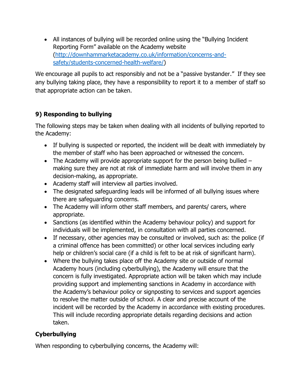• All instances of bullying will be recorded online using the "Bullying Incident Reporting Form" available on the Academy website [\(http://downhammarketacademy.co.uk/information/concerns-and](http://downhammarketacademy.co.uk/information/concerns-and-safety/students-concerned-health-welfare/)[safety/students-concerned-health-welfare/\)](http://downhammarketacademy.co.uk/information/concerns-and-safety/students-concerned-health-welfare/)

We encourage all pupils to act responsibly and not be a "passive bystander." If they see any bullying taking place, they have a responsibility to report it to a member of staff so that appropriate action can be taken.

## **9) Responding to bullying**

The following steps may be taken when dealing with all incidents of bullying reported to the Academy:

- If bullying is suspected or reported, the incident will be dealt with immediately by the member of staff who has been approached or witnessed the concern.
- The Academy will provide appropriate support for the person being bullied  $$ making sure they are not at risk of immediate harm and will involve them in any decision-making, as appropriate.
- Academy staff will interview all parties involved.
- The designated safeguarding leads will be informed of all bullying issues where there are safeguarding concerns.
- The Academy will inform other staff members, and parents/ carers, where appropriate.
- Sanctions (as identified within the Academy behaviour policy) and support for individuals will be implemented, in consultation with all parties concerned.
- If necessary, other agencies may be consulted or involved, such as: the police (if a criminal offence has been committed) or other local services including early help or children's social care (if a child is felt to be at risk of significant harm).
- Where the bullying takes place off the Academy site or outside of normal Academy hours (including cyberbullying), the Academy will ensure that the concern is fully investigated. Appropriate action will be taken which may include providing support and implementing sanctions in Academy in accordance with the Academy's behaviour policy or signposting to services and support agencies to resolve the matter outside of school. A clear and precise account of the incident will be recorded by the Academy in accordance with existing procedures. This will include recording appropriate details regarding decisions and action taken.

## **Cyberbullying**

When responding to cyberbullying concerns, the Academy will: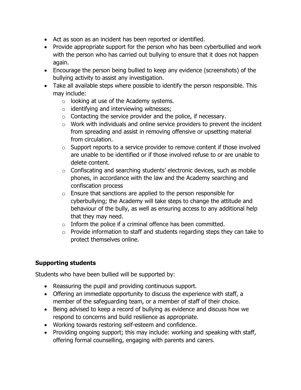- Act as soon as an incident has been reported or identified.
- Provide appropriate support for the person who has been cyberbullied and work with the person who has carried out bullying to ensure that it does not happen again.
- Encourage the person being bullied to keep any evidence (screenshots) of the bullying activity to assist any investigation.
- Take all available steps where possible to identify the person responsible. This may include:
	- $\circ$  looking at use of the Academy systems.
	- $\circ$  identifying and interviewing witnesses;
	- $\circ$  Contacting the service provider and the police, if necessary.
	- $\circ$  Work with individuals and online service providers to prevent the incident from spreading and assist in removing offensive or upsetting material from circulation.
	- $\circ$  Support reports to a service provider to remove content if those involved are unable to be identified or if those involved refuse to or are unable to delete content.
	- o Confiscating and searching students' electronic devices, such as mobile phones, in accordance with the law and the Academy searching and confiscation process
	- $\circ$  Ensure that sanctions are applied to the person responsible for cyberbullying; the Academy will take steps to change the attitude and behaviour of the bully, as well as ensuring access to any additional help that they may need.
	- $\circ$  Inform the police if a criminal offence has been committed.
	- $\circ$  Provide information to staff and students regarding steps they can take to protect themselves online.

#### **Supporting students**

Students who have been bullied will be supported by:

- Reassuring the pupil and providing continuous support.
- Offering an immediate opportunity to discuss the experience with staff, a member of the safeguarding team, or a member of staff of their choice.
- Being advised to keep a record of bullying as evidence and discuss how we respond to concerns and build resilience as appropriate.
- Working towards restoring self-esteem and confidence.
- Providing ongoing support; this may include: working and speaking with staff, offering formal counselling, engaging with parents and carers.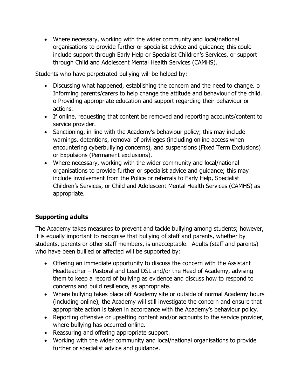• Where necessary, working with the wider community and local/national organisations to provide further or specialist advice and guidance; this could include support through Early Help or Specialist Children's Services, or support through Child and Adolescent Mental Health Services (CAMHS).

Students who have perpetrated bullying will be helped by:

- Discussing what happened, establishing the concern and the need to change. o Informing parents/carers to help change the attitude and behaviour of the child. o Providing appropriate education and support regarding their behaviour or actions.
- If online, requesting that content be removed and reporting accounts/content to service provider.
- Sanctioning, in line with the Academy's behaviour policy; this may include warnings, detentions, removal of privileges (including online access when encountering cyberbullying concerns), and suspensions (Fixed Term Exclusions) or Expulsions (Permanent exclusions).
- Where necessary, working with the wider community and local/national organisations to provide further or specialist advice and guidance; this may include involvement from the Police or referrals to Early Help, Specialist Children's Services, or Child and Adolescent Mental Health Services (CAMHS) as appropriate.

### **Supporting adults**

The Academy takes measures to prevent and tackle bullying among students; however, it is equally important to recognise that bullying of staff and parents, whether by students, parents or other staff members, is unacceptable. Adults (staff and parents) who have been bullied or affected will be supported by:

- Offering an immediate opportunity to discuss the concern with the Assistant Headteacher – Pastoral and Lead DSL and/or the Head of Academy, advising them to keep a record of bullying as evidence and discuss how to respond to concerns and build resilience, as appropriate.
- Where bullying takes place off Academy site or outside of normal Academy hours (including online), the Academy will still investigate the concern and ensure that appropriate action is taken in accordance with the Academy's behaviour policy.
- Reporting offensive or upsetting content and/or accounts to the service provider, where bullying has occurred online.
- Reassuring and offering appropriate support.
- Working with the wider community and local/national organisations to provide further or specialist advice and guidance.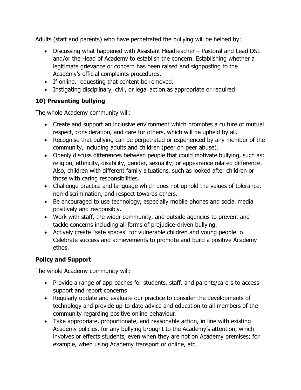Adults (staff and parents) who have perpetrated the bullying will be helped by:

- Discussing what happened with Assistant Headteacher Pastoral and Lead DSL and/or the Head of Academy to establish the concern. Establishing whether a legitimate grievance or concern has been raised and signposting to the Academy's official complaints procedures.
- If online, requesting that content be removed.
- Instigating disciplinary, civil, or legal action as appropriate or required

## **10) Preventing bullying**

The whole Academy community will:

- Create and support an inclusive environment which promotes a culture of mutual respect, consideration, and care for others, which will be upheld by all.
- Recognise that bullying can be perpetrated or experienced by any member of the community, including adults and children (peer on peer abuse).
- Openly discuss differences between people that could motivate bullying, such as: religion, ethnicity, disability, gender, sexuality, or appearance related difference. Also, children with different family situations, such as looked after children or those with caring responsibilities.
- Challenge practice and language which does not uphold the values of tolerance, non-discrimination, and respect towards others.
- Be encouraged to use technology, especially mobile phones and social media positively and responsibly.
- Work with staff, the wider community, and outside agencies to prevent and tackle concerns including all forms of prejudice-driven bullying.
- Actively create "safe spaces" for vulnerable children and young people. o Celebrate success and achievements to promote and build a positive Academy ethos.

### **Policy and Support**

The whole Academy community will:

- Provide a range of approaches for students, staff, and parents/carers to access support and report concerns
- Regularly update and evaluate our practice to consider the developments of technology and provide up-to-date advice and education to all members of the community regarding positive online behaviour.
- Take appropriate, proportionate, and reasonable action, in line with existing Academy policies, for any bullying brought to the Academy's attention, which involves or effects students, even when they are not on Academy premises; for example, when using Academy transport or online, etc.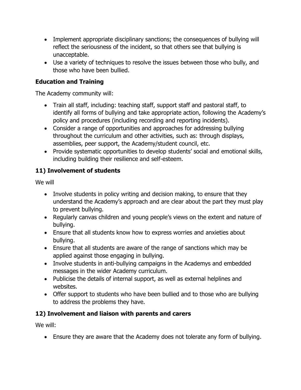- Implement appropriate disciplinary sanctions; the consequences of bullying will reflect the seriousness of the incident, so that others see that bullying is unacceptable.
- Use a variety of techniques to resolve the issues between those who bully, and those who have been bullied.

#### **Education and Training**

The Academy community will:

- Train all staff, including: teaching staff, support staff and pastoral staff, to identify all forms of bullying and take appropriate action, following the Academy's policy and procedures (including recording and reporting incidents).
- Consider a range of opportunities and approaches for addressing bullying throughout the curriculum and other activities, such as: through displays, assemblies, peer support, the Academy/student council, etc.
- Provide systematic opportunities to develop students' social and emotional skills, including building their resilience and self-esteem.

### **11) Involvement of students**

We will

- Involve students in policy writing and decision making, to ensure that they understand the Academy's approach and are clear about the part they must play to prevent bullying.
- Regularly canvas children and young people's views on the extent and nature of bullying.
- Ensure that all students know how to express worries and anxieties about bullying.
- Ensure that all students are aware of the range of sanctions which may be applied against those engaging in bullying.
- Involve students in anti-bullying campaigns in the Academys and embedded messages in the wider Academy curriculum.
- Publicise the details of internal support, as well as external helplines and websites.
- Offer support to students who have been bullied and to those who are bullying to address the problems they have.

### **12) Involvement and liaison with parents and carers**

We will:

• Ensure they are aware that the Academy does not tolerate any form of bullying.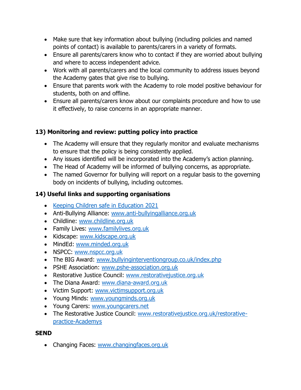- Make sure that key information about bullying (including policies and named points of contact) is available to parents/carers in a variety of formats.
- Ensure all parents/carers know who to contact if they are worried about bullying and where to access independent advice.
- Work with all parents/carers and the local community to address issues beyond the Academy gates that give rise to bullying.
- Ensure that parents work with the Academy to role model positive behaviour for students, both on and offline.
- Ensure all parents/carers know about our complaints procedure and how to use it effectively, to raise concerns in an appropriate manner.

## **13) Monitoring and review: putting policy into practice**

- The Academy will ensure that they regularly monitor and evaluate mechanisms to ensure that the policy is being consistently applied.
- Any issues identified will be incorporated into the Academy's action planning.
- The Head of Academy will be informed of bullying concerns, as appropriate.
- The named Governor for bullying will report on a regular basis to the governing body on incidents of bullying, including outcomes.

## **14) Useful links and supporting organisations**

- [Keeping Children safe in Education 2021](https://assets.publishing.service.gov.uk/government/uploads/system/uploads/attachment_data/file/1021914/KCSIE_2021_September_guidance.pdf)
- Anti-Bullying Alliance: [www.anti-bullyingalliance.org.uk](http://www.anti-bullyingalliance.org.uk/)
- Childline: [www.childline.org.uk](http://www.childline.org.uk/)
- Family Lives: [www.familylives.org.uk](http://www.familylives.org.uk/)
- Kidscape: [www.kidscape.org.uk](http://www.kidscape.org.uk/)
- MindEd: [www.minded.org.uk](http://www.minded.org.uk/)
- NSPCC: [www.nspcc.org.uk](http://www.nspcc.org.uk/)
- The BIG Award: [www.bullyinginterventiongroup.co.uk/index.php](http://www.bullyinginterventiongroup.co.uk/index.php)
- PSHE Association: [www.pshe-association.org.uk](http://www.pshe-association.org.uk/)
- Restorative Justice Council: [www.restorativejustice.org.uk](http://www.restorativejustice.org.uk/)
- The Diana Award: [www.diana-award.org.uk](http://www.diana-award.org.uk/)
- Victim Support: [www.victimsupport.org.uk](http://www.victimsupport.org.uk/)
- Young Minds: [www.youngminds.org.uk](http://www.youngminds.org.uk/)
- Young Carers: [www.youngcarers.net](http://www.youngcarers.net/)
- The Restorative Justice Council: [www.restorativejustice.org.uk/restorative](http://www.restorativejustice.org.uk/restorative-practice-schools)[practice-Academys](http://www.restorativejustice.org.uk/restorative-practice-schools)

#### **SEND**

• Changing Faces: [www.changingfaces.org.uk](http://www.changingfaces.org.uk/)